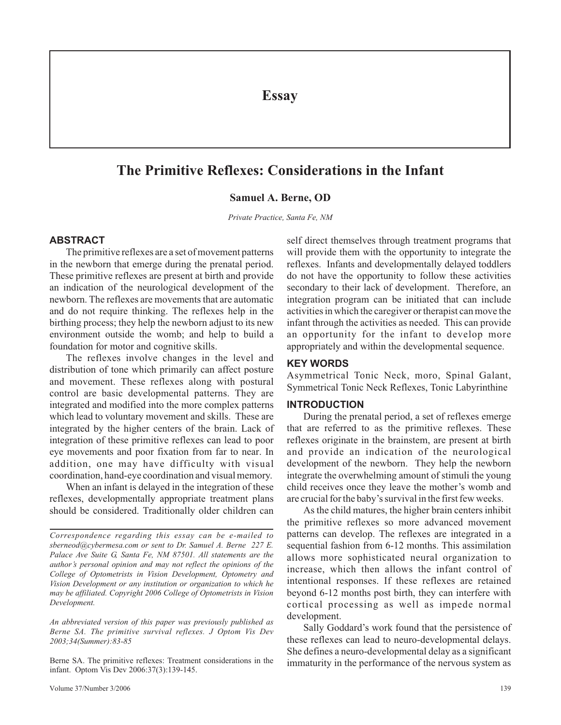**Essay**

# **The Primitive Reflexes: Considerations in the Infant**

#### **Samuel A. Berne, OD**

*Private Practice, Santa Fe, NM*

#### **ABSTRACT**

The primitive reflexes are a set of movement patterns in the newborn that emerge during the prenatal period. These primitive reflexes are present at birth and provide an indication of the neurological development of the newborn. The reflexes are movements that are automatic and do not require thinking. The reflexes help in the birthing process; they help the newborn adjust to its new environment outside the womb; and help to build a foundation for motor and cognitive skills.

The reflexes involve changes in the level and distribution of tone which primarily can affect posture and movement. These reflexes along with postural control are basic developmental patterns. They are integrated and modified into the more complex patterns which lead to voluntary movement and skills. These are integrated by the higher centers of the brain. Lack of integration of these primitive reflexes can lead to poor eye movements and poor fixation from far to near. In addition, one may have difficulty with visual coordination, hand-eye coordination and visual memory.

When an infant is delayed in the integration of these reflexes, developmentally appropriate treatment plans should be considered. Traditionally older children can

*An abbreviated version of this paper was previously published as Berne SA. The primitive survival reflexes. J Optom Vis Dev 2003;34(Summer):83-85*

Berne SA. The primitive reflexes: Treatment considerations in the infant. Optom Vis Dev 2006:37(3):139-145.

self direct themselves through treatment programs that will provide them with the opportunity to integrate the reflexes. Infants and developmentally delayed toddlers do not have the opportunity to follow these activities secondary to their lack of development. Therefore, an integration program can be initiated that can include activities in which the caregiver or therapist can move the infant through the activities as needed. This can provide an opportunity for the infant to develop more appropriately and within the developmental sequence.

#### **KEY WORDS**

Asymmetrical Tonic Neck, moro, Spinal Galant, Symmetrical Tonic Neck Reflexes, Tonic Labyrinthine

#### **INTRODUCTION**

During the prenatal period, a set of reflexes emerge that are referred to as the primitive reflexes. These reflexes originate in the brainstem, are present at birth and provide an indication of the neurological development of the newborn. They help the newborn integrate the overwhelming amount of stimuli the young child receives once they leave the mother's womb and are crucial for the baby's survival in the first few weeks.

As the child matures, the higher brain centers inhibit the primitive reflexes so more advanced movement patterns can develop. The reflexes are integrated in a sequential fashion from 6-12 months. This assimilation allows more sophisticated neural organization to increase, which then allows the infant control of intentional responses. If these reflexes are retained beyond 6-12 months post birth, they can interfere with cortical processing as well as impede normal development.

Sally Goddard's work found that the persistence of these reflexes can lead to neuro-developmental delays. She defines a neuro-developmental delay as a significant immaturity in the performance of the nervous system as

*Correspondence regarding this essay can be e-mailed to sberneod@cybermesa.com or sent to Dr. Samuel A. Berne 227 E. Palace Ave Suite G, Santa Fe, NM 87501. All statements are the author's personal opinion and may not reflect the opinions of the College of Optometrists in Vision Development, Optometry and Vision Development or any institution or organization to which he may be affiliated. Copyright 2006 College of Optometrists in Vision Development.*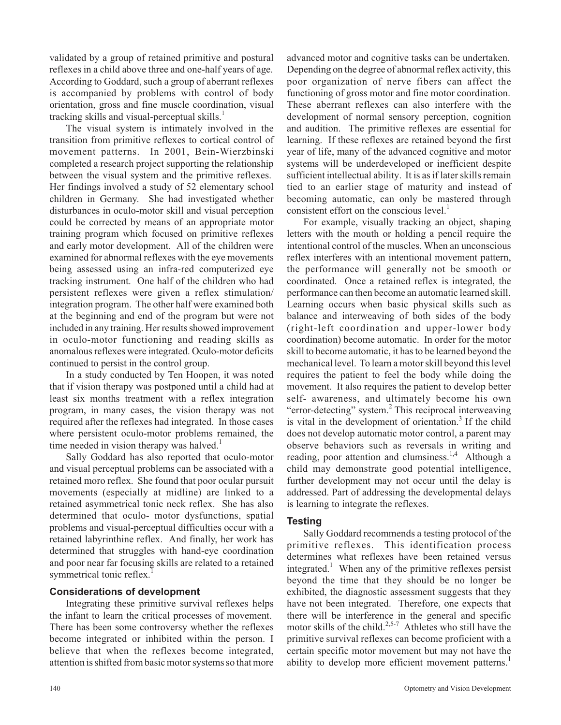validated by a group of retained primitive and postural reflexes in a child above three and one-half years of age. According to Goddard, such a group of aberrant reflexes is accompanied by problems with control of body orientation, gross and fine muscle coordination, visual tracking skills and visual-perceptual skills. $<sup>1</sup>$ </sup>

The visual system is intimately involved in the transition from primitive reflexes to cortical control of movement patterns. In 2001, Bein-Wierzbinski completed a research project supporting the relationship between the visual system and the primitive reflexes. Her findings involved a study of 52 elementary school children in Germany. She had investigated whether disturbances in oculo-motor skill and visual perception could be corrected by means of an appropriate motor training program which focused on primitive reflexes and early motor development. All of the children were examined for abnormal reflexes with the eye movements being assessed using an infra-red computerized eye tracking instrument. One half of the children who had persistent reflexes were given a reflex stimulation/ integration program. The other half were examined both at the beginning and end of the program but were not included in any training. Her results showed improvement in oculo-motor functioning and reading skills as anomalous reflexes were integrated. Oculo-motor deficits continued to persist in the control group.

In a study conducted by Ten Hoopen, it was noted that if vision therapy was postponed until a child had at least six months treatment with a reflex integration program, in many cases, the vision therapy was not required after the reflexes had integrated. In those cases where persistent oculo-motor problems remained, the time needed in vision therapy was halved. $<sup>1</sup>$ </sup>

Sally Goddard has also reported that oculo-motor and visual perceptual problems can be associated with a retained moro reflex. She found that poor ocular pursuit movements (especially at midline) are linked to a retained asymmetrical tonic neck reflex. She has also determined that oculo- motor dysfunctions, spatial problems and visual-perceptual difficulties occur with a retained labyrinthine reflex. And finally, her work has determined that struggles with hand-eye coordination and poor near far focusing skills are related to a retained symmetrical tonic reflex.<sup>1</sup>

# **Considerations of development**

Integrating these primitive survival reflexes helps the infant to learn the critical processes of movement. There has been some controversy whether the reflexes become integrated or inhibited within the person. I believe that when the reflexes become integrated, attention is shifted from basic motor systems so that more

advanced motor and cognitive tasks can be undertaken. Depending on the degree of abnormal reflex activity, this poor organization of nerve fibers can affect the functioning of gross motor and fine motor coordination. These aberrant reflexes can also interfere with the development of normal sensory perception, cognition and audition. The primitive reflexes are essential for learning. If these reflexes are retained beyond the first year of life, many of the advanced cognitive and motor systems will be underdeveloped or inefficient despite sufficient intellectual ability. It is as if later skills remain tied to an earlier stage of maturity and instead of becoming automatic, can only be mastered through consistent effort on the conscious  $level.1$ 

For example, visually tracking an object, shaping letters with the mouth or holding a pencil require the intentional control of the muscles. When an unconscious reflex interferes with an intentional movement pattern, the performance will generally not be smooth or coordinated. Once a retained reflex is integrated, the performance can then become an automatic learned skill. Learning occurs when basic physical skills such as balance and interweaving of both sides of the body (right-left coordination and upper-lower body coordination) become automatic. In order for the motor skill to become automatic, it has to be learned beyond the mechanical level. To learn a motor skill beyond this level requires the patient to feel the body while doing the movement. It also requires the patient to develop better self- awareness, and ultimately become his own "error-detecting" system.<sup>2</sup> This reciprocal interweaving is vital in the development of orientation.<sup>3</sup> If the child does not develop automatic motor control, a parent may observe behaviors such as reversals in writing and reading, poor attention and clumsiness.<sup>1,4</sup> Although a child may demonstrate good potential intelligence, further development may not occur until the delay is addressed. Part of addressing the developmental delays is learning to integrate the reflexes.

# **Testing**

Sally Goddard recommends a testing protocol of the primitive reflexes. This identification process determines what reflexes have been retained versus integrated.<sup>1</sup> When any of the primitive reflexes persist beyond the time that they should be no longer be exhibited, the diagnostic assessment suggests that they have not been integrated. Therefore, one expects that there will be interference in the general and specific motor skills of the child.<sup>2,5-7</sup> Athletes who still have the primitive survival reflexes can become proficient with a certain specific motor movement but may not have the ability to develop more efficient movement patterns.<sup>1</sup>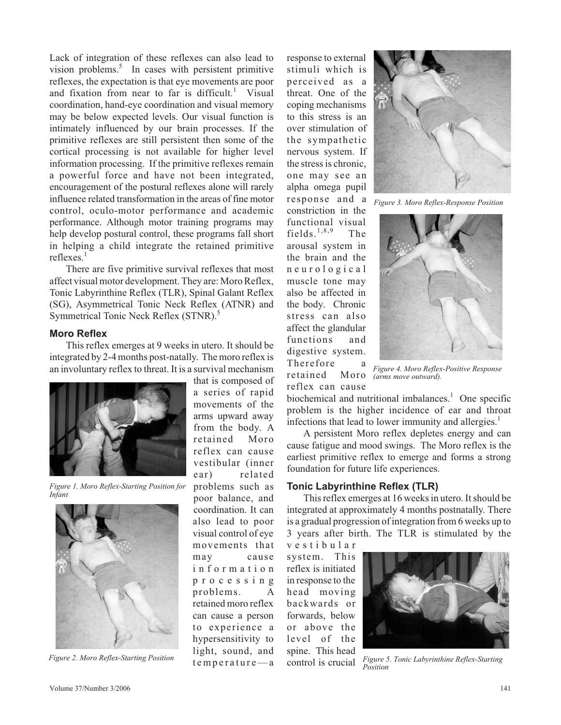Lack of integration of these reflexes can also lead to vision problems.<sup>5</sup> In cases with persistent primitive reflexes, the expectation is that eye movements are poor and fixation from near to far is difficult.<sup>1</sup> Visual coordination, hand-eye coordination and visual memory may be below expected levels. Our visual function is intimately influenced by our brain processes. If the primitive reflexes are still persistent then some of the cortical processing is not available for higher level information processing. If the primitive reflexes remain a powerful force and have not been integrated, encouragement of the postural reflexes alone will rarely influence related transformation in the areas of fine motor control, oculo-motor performance and academic performance. Although motor training programs may help develop postural control, these programs fall short in helping a child integrate the retained primitive reflexes.<sup>1</sup>

There are five primitive survival reflexes that most affect visual motor development. They are: Moro Reflex, Tonic Labyrinthine Reflex (TLR), Spinal Galant Reflex (SG), Asymmetrical Tonic Neck Reflex (ATNR) and Symmetrical Tonic Neck Reflex (STNR).<sup>5</sup>

#### **Moro Reflex**

This reflex emerges at 9 weeks in utero. It should be integrated by 2-4 months post-natally. The moro reflex is an involuntary reflex to threat. It is a survival mechanism



*Figure 1. Moro Reflex-Starting Position for Infant*



*Figure 2. Moro Reflex-Starting Position*

that is composed of a series of rapid movements of the arms upward away from the body. A retained Moro reflex can cause vestibular (inner ear) related problems such as poor balance, and coordination. It can also lead to poor visual control of eye movements that may cause i n f o r m a t i o n p r o c e s s i n g problems. A retained moro reflex can cause a person to experience a hypersensitivity to light, sound, and  $temp$ erature—a response to external stimuli which is perceived as a threat. One of the coping mechanisms to this stress is an over stimulation of the sympathetic nervous system. If the stress is chronic, one may see an alpha omega pupil response and a constriction in the functional visual fields. $1,8,9$  The arousal system in the brain and the n e u r o l o g i c a l muscle tone may also be affected in the body. Chronic stress can also affect the glandular functions and digestive system. Therefore retained Moro reflex can cause



*Figure 3. Moro Reflex-Response Position*



*Figure 4. Moro Reflex-Positive Response (arms move outward).*

biochemical and nutritional imbalances. $\frac{1}{1}$  One specific problem is the higher incidence of ear and throat infections that lead to lower immunity and allergies.<sup>1</sup>

A persistent Moro reflex depletes energy and can cause fatigue and mood swings. The Moro reflex is the earliest primitive reflex to emerge and forms a strong foundation for future life experiences.

# **Tonic Labyrinthine Reflex (TLR)**

This reflex emerges at 16 weeks in utero. It should be integrated at approximately 4 months postnatally. There is a gradual progression ofintegration from 6 weeks up to 3 years after birth. The TLR is stimulated by the

v e s t i b u l a r system. This reflex is initiated in response to the head moving backwards or forwards, below or above the level of the spine. This head control is crucial



*Figure 5. Tonic Labyrinthine Reflex-Starting Position*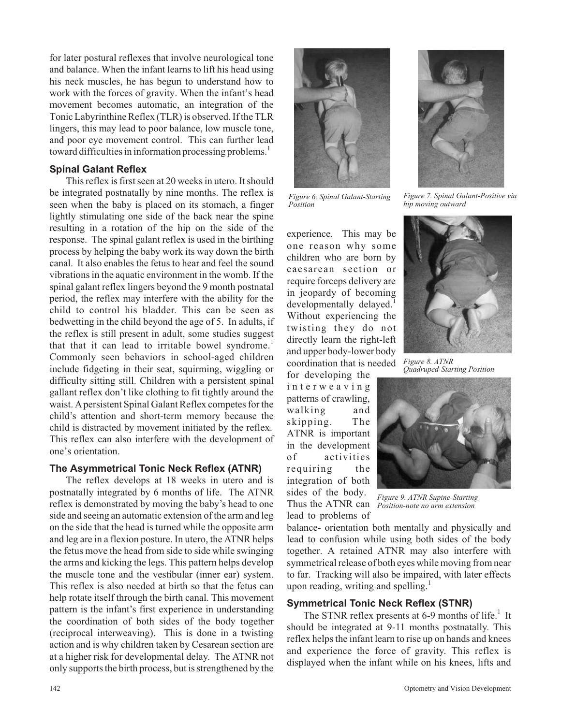for later postural reflexes that involve neurological tone and balance. When the infant learns to lift his head using his neck muscles, he has begun to understand how to work with the forces of gravity. When the infant's head movement becomes automatic, an integration of the Tonic Labyrinthine Reflex (TLR) is observed. If the TLR lingers, this may lead to poor balance, low muscle tone, and poor eye movement control. This can further lead toward difficulties in information processing problems.<sup>1</sup>

# **Spinal Galant Reflex**

This reflex is first seen at 20 weeks in utero. It should be integrated postnatally by nine months. The reflex is seen when the baby is placed on its stomach, a finger lightly stimulating one side of the back near the spine resulting in a rotation of the hip on the side of the response. The spinal galant reflex is used in the birthing process by helping the baby work its way down the birth canal. It also enables the fetus to hear and feel the sound vibrations in the aquatic environment in the womb. If the spinal galant reflex lingers beyond the 9 month postnatal period, the reflex may interfere with the ability for the child to control his bladder. This can be seen as bedwetting in the child beyond the age of 5. In adults, if the reflex is still present in adult, some studies suggest that that it can lead to irritable bowel syndrome.<sup>1</sup> Commonly seen behaviors in school-aged children include fidgeting in their seat, squirming, wiggling or difficulty sitting still. Children with a persistent spinal gallant reflex don't like clothing to fit tightly around the waist. A persistent Spinal Galant Reflex competes for the child's attention and short-term memory because the child is distracted by movement initiated by the reflex. This reflex can also interfere with the development of one's orientation.

# **The Asymmetrical Tonic Neck Reflex (ATNR)**

The reflex develops at 18 weeks in utero and is postnatally integrated by 6 months of life. The ATNR reflex is demonstrated by moving the baby's head to one side and seeing an automatic extension of the arm and leg on the side that the head is turned while the opposite arm and leg are in a flexion posture. In utero, the ATNR helps the fetus move the head from side to side while swinging the arms and kicking the legs. This pattern helps develop the muscle tone and the vestibular (inner ear) system. This reflex is also needed at birth so that the fetus can help rotate itself through the birth canal. This movement pattern is the infant's first experience in understanding the coordination of both sides of the body together (reciprocal interweaving). This is done in a twisting action and is why children taken by Cesarean section are at a higher risk for developmental delay. The ATNR not only supports the birth process, but is strengthened by the



*Figure 6. Spinal Galant-Starting Position*

experience. This may be one reason why some children who are born by caesarean section or require forceps delivery are in jeopardy of becoming developmentally delayed.<sup>1</sup> Without experiencing the twisting they do not directly learn the right-left and upper body-lower body coordination that is needed

for developing the i n t e r w e a v i n g patterns of crawling, walking and skipping. The ATNR is important in the development of activities requiring the integration of both sides of the body. Thus the ATNR can

lead to problems of



*Figure 7. Spinal Galant-Positive via hip moving outward*



*Figure 8. ATNR Quadruped-Starting Position*



*Figure 9. ATNR Supine-Starting Position-note no arm extension*

balance- orientation both mentally and physically and lead to confusion while using both sides of the body together. A retained ATNR may also interfere with symmetrical release of both eyes while moving from near to far. Tracking will also be impaired, with later effects upon reading, writing and spelling. $<sup>1</sup>$ </sup>

# **Symmetrical Tonic Neck Reflex (STNR)**

The STNR reflex presents at 6-9 months of life.<sup>1</sup> It should be integrated at 9-11 months postnatally. This reflex helps the infant learn to rise up on hands and knees and experience the force of gravity. This reflex is displayed when the infant while on his knees, lifts and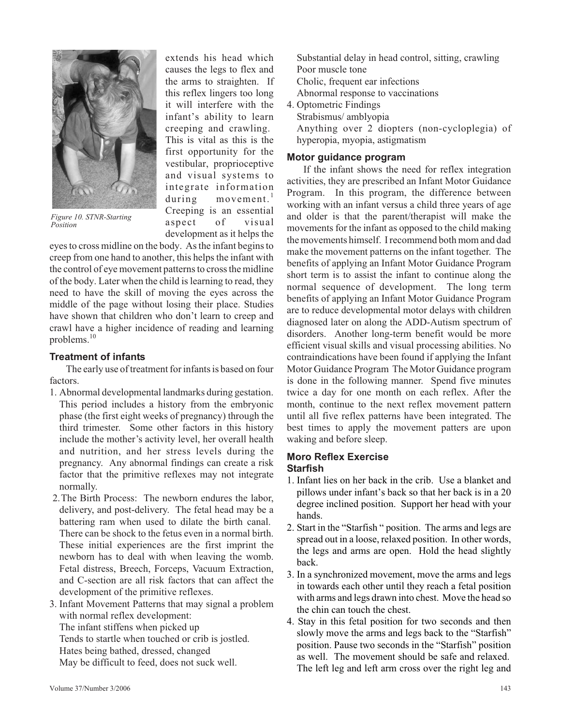

*Figure 10. STNR-Starting Position*

extends his head which causes the legs to flex and the arms to straighten. If this reflex lingers too long it will interfere with the infant's ability to learn creeping and crawling. This is vital as this is the first opportunity for the vestibular, proprioceptive and visual systems to integrate information during movement.<sup>1</sup> Creeping is an essential aspect of visual development as it helps the

eyesto cross midline on the body. Asthe infant beginsto creep from one hand to another, this helps the infant with the control of eye movement patterns to cross the midline of the body. Later when the child islearning to read, they need to have the skill of moving the eyes across the middle of the page without losing their place. Studies have shown that children who don't learn to creep and crawl have a higher incidence of reading and learning problems.<sup>10</sup>

# **Treatment of infants**

The early use of treatment for infants is based on four factors.

- 1. Abnormal developmental landmarks during gestation. This period includes a history from the embryonic phase (the first eight weeks of pregnancy) through the third trimester. Some other factors in this history include the mother's activity level, her overall health and nutrition, and her stress levels during the pregnancy. Any abnormal findings can create a risk factor that the primitive reflexes may not integrate normally.
- 2.The Birth Process: The newborn endures the labor, delivery, and post-delivery. The fetal head may be a battering ram when used to dilate the birth canal. There can be shock to the fetus even in a normal birth. These initial experiences are the first imprint the newborn has to deal with when leaving the womb. Fetal distress, Breech, Forceps, Vacuum Extraction, and C-section are all risk factors that can affect the development of the primitive reflexes.
- 3. Infant Movement Patterns that may signal a problem with normal reflex development: The infant stiffens when picked up Tends to startle when touched or crib is jostled. Hates being bathed, dressed, changed May be difficult to feed, does not suck well.

Substantial delay in head control, sitting, crawling Poor muscle tone Cholic, frequent ear infections Abnormal response to vaccinations

4. Optometric Findings Strabismus/ amblyopia Anything over 2 diopters (non-cycloplegia) of hyperopia, myopia, astigmatism

## **Motor guidance program**

If the infant shows the need for reflex integration activities, they are prescribed an Infant Motor Guidance Program. In this program, the difference between working with an infant versus a child three years of age and older is that the parent/therapist will make the movements for the infant as opposed to the child making the movements himself. I recommend both mom and dad make the movement patterns on the infant together. The benefits of applying an Infant Motor Guidance Program short term is to assist the infant to continue along the normal sequence of development. The long term benefits of applying an Infant Motor Guidance Program are to reduce developmental motor delays with children diagnosed later on along the ADD-Autism spectrum of disorders. Another long-term benefit would be more efficient visual skills and visual processing abilities. No contraindications have been found if applying the Infant Motor Guidance Program The Motor Guidance program is done in the following manner. Spend five minutes twice a day for one month on each reflex. After the month, continue to the next reflex movement pattern until all five reflex patterns have been integrated. The best times to apply the movement patters are upon waking and before sleep.

# **Moro Reflex Exercise**

# **Starfish**

- 1. Infant lies on her back in the crib. Use a blanket and pillows under infant's back so that her back is in a 20 degree inclined position. Support her head with your hands.
- 2. Start in the "Starfish " position. The arms and legs are spread out in a loose, relaxed position. In other words, the legs and arms are open. Hold the head slightly back.
- 3. In a synchronized movement, move the arms and legs in towards each other until they reach a fetal position with arms and legs drawn into chest. Move the head so the chin can touch the chest.
- 4. Stay in this fetal position for two seconds and then slowly move the arms and legs back to the "Starfish" position. Pause two seconds in the "Starfish" position as well. The movement should be safe and relaxed. The left leg and left arm cross over the right leg and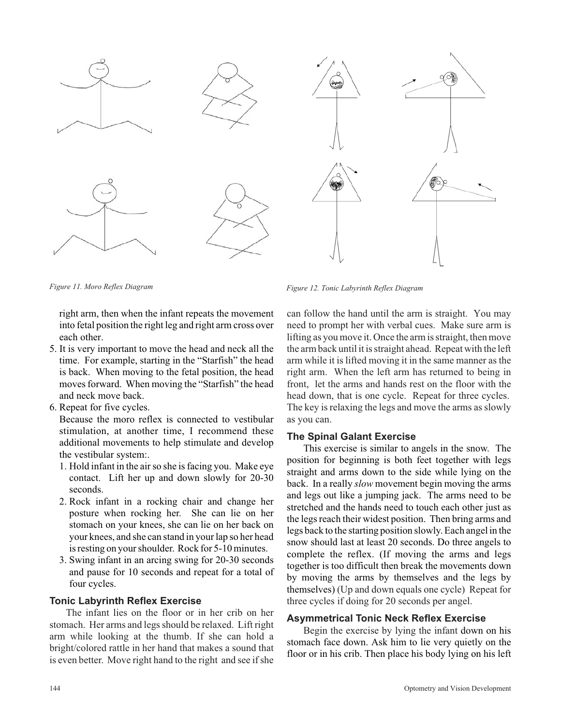

right arm, then when the infant repeats the movement into fetal position the right leg and right arm cross over each other.

- 5. It is very important to move the head and neck all the time. For example, starting in the "Starfish" the head is back. When moving to the fetal position, the head moves forward. When moving the "Starfish" the head and neck move back.
- 6. Repeat for five cycles.

Because the moro reflex is connected to vestibular stimulation, at another time, I recommend these additional movements to help stimulate and develop the vestibular system:.

- 1. Hold infant in the airso she isfacing you. Make eye contact. Lift her up and down slowly for 20-30 seconds.
- 2. Rock infant in a rocking chair and change her posture when rocking her. She can lie on her stomach on your knees, she can lie on her back on your knees, and she can stand in yourlap so her head is resting on your shoulder. Rock for 5-10 minutes.
- 3. Swing infant in an arcing swing for 20-30 seconds and pause for 10 seconds and repeat for a total of four cycles.

#### **Tonic Labyrinth Reflex Exercise**

The infant lies on the floor or in her crib on her stomach. Her arms and legs should be relaxed. Lift right arm while looking at the thumb. If she can hold a bright/colored rattle in her hand that makes a sound that is even better. Move right hand to the right and see if she

*Figure 11. Moro Reflex Diagram Figure 12. Tonic Labyrinth Reflex Diagram*

can follow the hand until the arm is straight. You may need to prompt her with verbal cues. Make sure arm is lifting as you move it. Once the arm is straight, then move the armback until it isstraight ahead. Repeat with the left arm while it is lifted moving it in the same manner as the right arm. When the left arm has returned to being in front, let the arms and hands rest on the floor with the head down, that is one cycle. Repeat for three cycles. The key is relaxing the legs and move the arms as slowly as you can.

#### **The Spinal Galant Exercise**

This exercise is similar to angels in the snow. The position for beginning is both feet together with legs straight and arms down to the side while lying on the back. In a really *slow* movement begin moving the arms and legs out like a jumping jack. The arms need to be stretched and the hands need to touch each other just as the legs reach their widest position. Then bring arms and legs back to the starting position slowly.Each angel in the snow should last at least 20 seconds. Do three angels to complete the reflex. (If moving the arms and legs together is too difficult then break the movements down by moving the arms by themselves and the legs by themselves) (Up and down equals one cycle) Repeat for three cycles if doing for 20 seconds per angel.

#### **Asymmetrical Tonic Neck Reflex Exercise**

Begin the exercise by lying the infant down on his stomach face down. Ask him to lie very quietly on the floor or in his crib. Then place his body lying on his left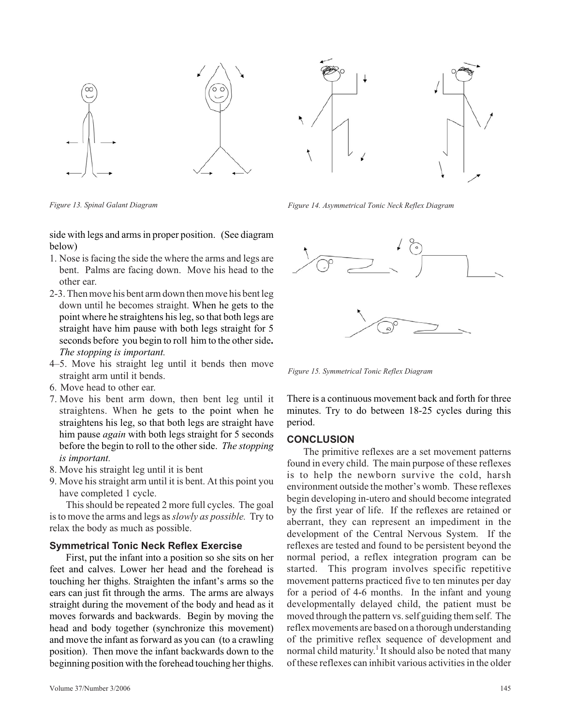

side with legs and armsin proper position. (See diagram below)

- 1. Nose isfacing the side the where the arms and legs are bent. Palms are facing down. Move his head to the other ear.
- 2-3.Thenmove his bent armdown thenmove his bent leg down until he becomes straight. When he gets to the point where he straightens his leg, so that both legs are straight have him pause with both legs straight for 5 seconds before you begin to roll him to the other side. *The stopping is important.*
- 4–5. Move his straight leg until it bends then move straight arm until it bends.
- 6. Move head to other ear.
- 7. Move his bent arm down, then bent leg until it straightens. When he gets to the point when he straightens his leg, so that both legs are straight have him pause *again* with both legs straight for 5 seconds before the begin to roll to the other side. *The stopping is important.*
- 8. Move his straight leg until it is bent
- 9. Move his straight arm until it is bent. At this point you have completed 1 cycle.

Thisshould be repeated 2 more full cycles. The goal isto move the arms and legs as*slowly as possible.* Try to relax the body as much as possible.

#### **Symmetrical Tonic Neck Reflex Exercise**

First, put the infant into a position so she sits on her feet and calves. Lower her head and the forehead is touching her thighs. Straighten the infant's arms so the ears can just fit through the arms. The arms are always straight during the movement of the body and head as it moves forwards and backwards. Begin by moving the head and body together (synchronize this movement) and move the infant as forward as you can (to a crawling position). Then move the infant backwards down to the beginning position with the forehead touching her thighs.



*Figure 13. Spinal Galant Diagram Figure 14. Asymmetrical Tonic Neck Reflex Diagram*



*Figure 15. Symmetrical Tonic Reflex Diagram*

There is a continuous movement back and forth for three minutes. Try to do between 18-25 cycles during this period.

#### **CONCLUSION**

The primitive reflexes are a set movement patterns found in every child. The main purpose of these reflexes is to help the newborn survive the cold, harsh environment outside the mother's womb. These reflexes begin developing in-utero and should become integrated by the first year of life. If the reflexes are retained or aberrant, they can represent an impediment in the development of the Central Nervous System. If the reflexes are tested and found to be persistent beyond the normal period, a reflex integration program can be started. This program involves specific repetitive movement patterns practiced five to ten minutes per day for a period of 4-6 months. In the infant and young developmentally delayed child, the patient must be moved through the pattern vs.self guiding themself. The reflex movements are based on a thorough understanding of the primitive reflex sequence of development and normal child maturity. <sup>1</sup> It should also be noted that many of these reflexes can inhibit various activitiesin the older